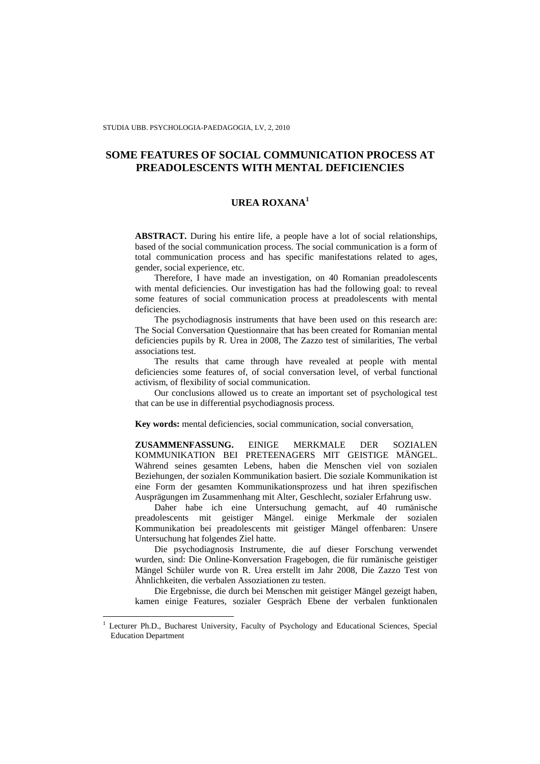# **SOME FEATURES OF SOCIAL COMMUNICATION PROCESS AT PREADOLESCENTS WITH MENTAL DEFICIENCIES**

## **UREA ROXANA<sup>1</sup>**

**ABSTRACT.** During his entire life, a people have a lot of social relationships, based of the social communication process. The social communication is a form of total communication process and has specific manifestations related to ages, gender, social experience, etc.

Therefore, I have made an investigation, on 40 Romanian preadolescents with mental deficiencies. Our investigation has had the following goal: to reveal some features of social communication process at preadolescents with mental deficiencies.

The psychodiagnosis instruments that have been used on this research are: The Social Conversation Questionnaire that has been created for Romanian mental deficiencies pupils by R. Urea in 2008, The Zazzo test of similarities, The verbal associations test.

The results that came through have revealed at people with mental deficiencies some features of, of social conversation level, of verbal functional activism, of flexibility of social communication.

Our conclusions allowed us to create an important set of psychological test that can be use in differential psychodiagnosis process.

**Key words:** mental deficiencies, social communication, social conversation.

**ZUSAMMENFASSUNG.** EINIGE MERKMALE DER SOZIALEN KOMMUNIKATION BEI PRETEENAGERS MIT GEISTIGE MÄNGEL. Während seines gesamten Lebens, haben die Menschen viel von sozialen Beziehungen, der sozialen Kommunikation basiert. Die soziale Kommunikation ist eine Form der gesamten Kommunikationsprozess und hat ihren spezifischen Ausprägungen im Zusammenhang mit Alter, Geschlecht, sozialer Erfahrung usw.

Daher habe ich eine Untersuchung gemacht, auf 40 rumänische preadolescents mit geistiger Mängel. einige Merkmale der sozialen Kommunikation bei preadolescents mit geistiger Mängel offenbaren: Unsere Untersuchung hat folgendes Ziel hatte.

Die psychodiagnosis Instrumente, die auf dieser Forschung verwendet wurden, sind: Die Online-Konversation Fragebogen, die für rumänische geistiger Mängel Schüler wurde von R. Urea erstellt im Jahr 2008, Die Zazzo Test von Ähnlichkeiten, die verbalen Assoziationen zu testen.

Die Ergebnisse, die durch bei Menschen mit geistiger Mängel gezeigt haben, kamen einige Features, sozialer Gespräch Ebene der verbalen funktionalen

 $\overline{a}$ 

<sup>1</sup> Lecturer Ph.D., Bucharest University, Faculty of Psychology and Educational Sciences, Special Education Department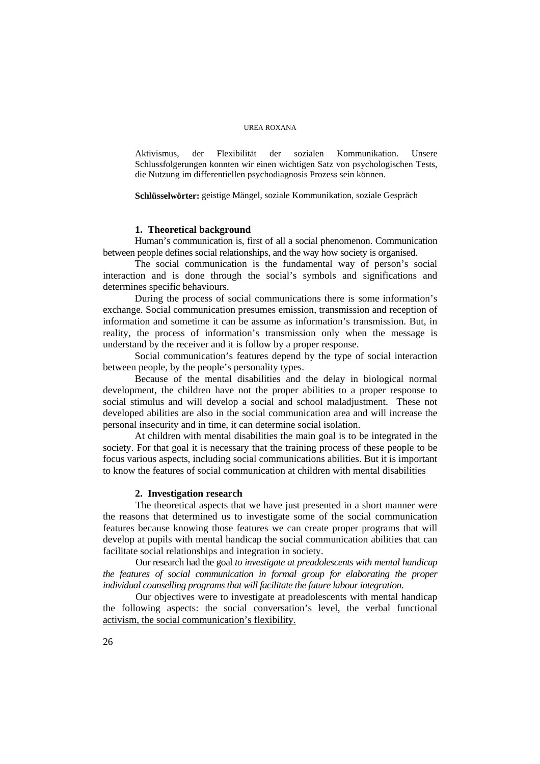#### UREA ROXANA

Aktivismus, der Flexibilität der sozialen Kommunikation. Unsere Schlussfolgerungen konnten wir einen wichtigen Satz von psychologischen Tests, die Nutzung im differentiellen psychodiagnosis Prozess sein können.

**Schlüsselwörter:** geistige Mängel, soziale Kommunikation, soziale Gespräch

#### **1. Theoretical background**

Human's communication is, first of all a social phenomenon. Communication between people defines social relationships, and the way how society is organised.

The social communication is the fundamental way of person's social interaction and is done through the social's symbols and significations and determines specific behaviours.

During the process of social communications there is some information's exchange. Social communication presumes emission, transmission and reception of information and sometime it can be assume as information's transmission. But, in reality, the process of information's transmission only when the message is understand by the receiver and it is follow by a proper response.

Social communication's features depend by the type of social interaction between people, by the people's personality types.

Because of the mental disabilities and the delay in biological normal development, the children have not the proper abilities to a proper response to social stimulus and will develop a social and school maladjustment. These not developed abilities are also in the social communication area and will increase the personal insecurity and in time, it can determine social isolation.

At children with mental disabilities the main goal is to be integrated in the society. For that goal it is necessary that the training process of these people to be focus various aspects, including social communications abilities. But it is important to know the features of social communication at children with mental disabilities

### **2. Investigation research**

The theoretical aspects that we have just presented in a short manner were the reasons that determined us to investigate some of the social communication features because knowing those features we can create proper programs that will develop at pupils with mental handicap the social communication abilities that can facilitate social relationships and integration in society.

Our research had the goal *to investigate at preadolescents with mental handicap the features of social communication in formal group for elaborating the proper individual counselling programs that will facilitate the future labour integration.*

Our objectives were to investigate at preadolescents with mental handicap the following aspects: the social conversation's level, the verbal functional activism, the social communication's flexibility.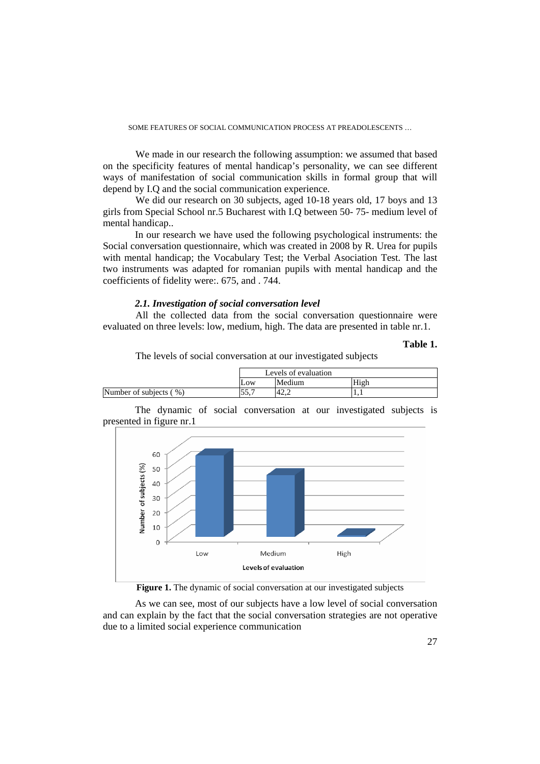SOME FEATURES OF SOCIAL COMMUNICATION PROCESS AT PREADOLESCENTS …

We made in our research the following assumption: we assumed that based on the specificity features of mental handicap's personality, we can see different ways of manifestation of social communication skills in formal group that will depend by I.Q and the social communication experience.

We did our research on 30 subjects, aged 10-18 years old, 17 boys and 13 girls from Special School nr.5 Bucharest with I.Q between 50- 75- medium level of mental handicap..

 In our research we have used the following psychological instruments: the Social conversation questionnaire, which was created in 2008 by R. Urea for pupils with mental handicap; the Vocabulary Test; the Verbal Asociation Test. The last two instruments was adapted for romanian pupils with mental handicap and the coefficients of fidelity were:. 675, and . 744.

## *2.1. Investigation of social conversation level*

All the collected data from the social conversation questionnaire were evaluated on three levels: low, medium, high. The data are presented in table nr.1.

### **Table 1.**

The levels of social conversation at our investigated subjects

|                        | Levels of evaluation |        |      |  |
|------------------------|----------------------|--------|------|--|
|                        | Low                  | Medium | High |  |
| Number of subjects (%) | .J.J.                | 42.2   |      |  |
|                        |                      |        |      |  |

 The dynamic of social conversation at our investigated subjects is presented in figure nr.1



Figure 1. The dynamic of social conversation at our investigated subjects

 As we can see, most of our subjects have a low level of social conversation and can explain by the fact that the social conversation strategies are not operative due to a limited social experience communication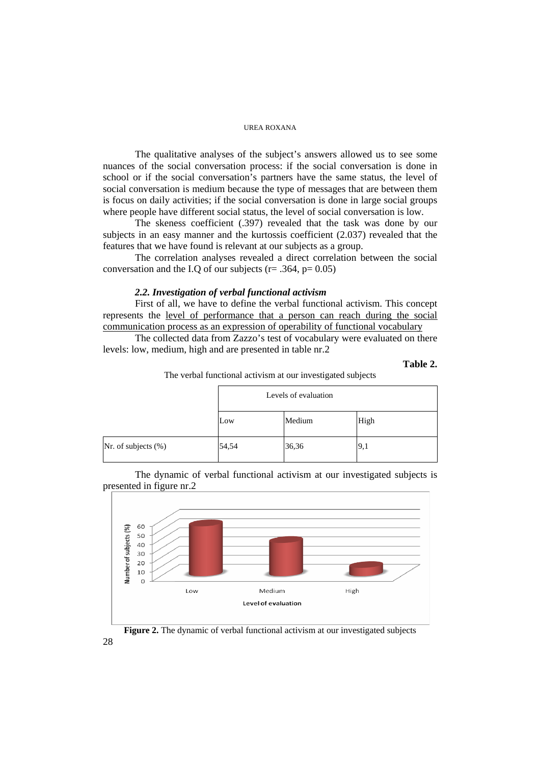#### UREA ROXANA

 The qualitative analyses of the subject's answers allowed us to see some nuances of the social conversation process: if the social conversation is done in school or if the social conversation's partners have the same status, the level of social conversation is medium because the type of messages that are between them is focus on daily activities; if the social conversation is done in large social groups where people have different social status, the level of social conversation is low.

 The skeness coefficient (.397) revealed that the task was done by our subjects in an easy manner and the kurtossis coefficient (2.037) revealed that the features that we have found is relevant at our subjects as a group.

 The correlation analyses revealed a direct correlation between the social conversation and the I.Q of our subjects ( $r = .364$ ,  $p = 0.05$ )

### *2.2. Investigation of verbal functional activism*

 First of all, we have to define the verbal functional activism. This concept represents the level of performance that a person can reach during the social communication process as an expression of operability of functional vocabulary

 The collected data from Zazzo's test of vocabulary were evaluated on there levels: low, medium, high and are presented in table nr.2

#### **Table 2.**



|                     | Levels of evaluation |        |      |  |
|---------------------|----------------------|--------|------|--|
|                     | Low                  | Medium | High |  |
| Nr. of subjects (%) | 54,54                | 36,36  | 9,1  |  |

 The dynamic of verbal functional activism at our investigated subjects is presented in figure nr.2



Figure 2. The dynamic of verbal functional activism at our investigated subjects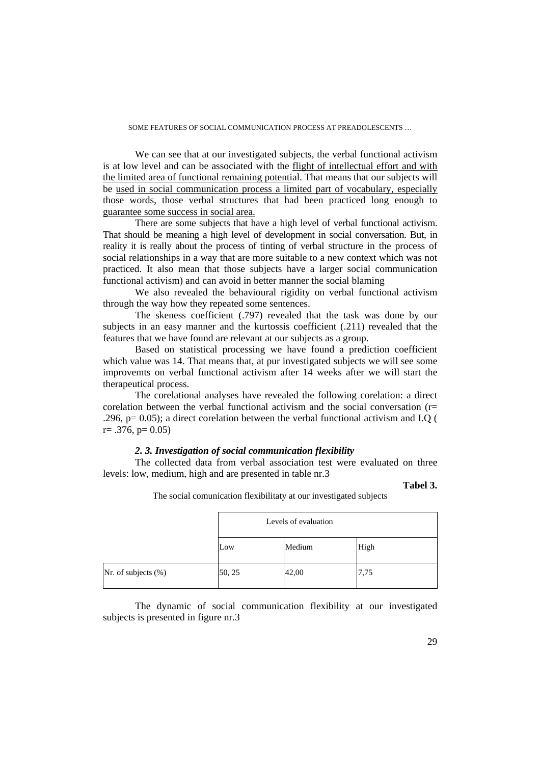#### SOME FEATURES OF SOCIAL COMMUNICATION PROCESS AT PREADOLESCENTS …

 We can see that at our investigated subjects, the verbal functional activism is at low level and can be associated with the flight of intellectual effort and with the limited area of functional remaining potential. That means that our subjects will be used in social communication process a limited part of vocabulary, especially those words, those verbal structures that had been practiced long enough to guarantee some success in social area.

 There are some subjects that have a high level of verbal functional activism. That should be meaning a high level of development in social conversation. But, in reality it is really about the process of tinting of verbal structure in the process of social relationships in a way that are more suitable to a new context which was not practiced. It also mean that those subjects have a larger social communication functional activism) and can avoid in better manner the social blaming

We also revealed the behavioural rigidity on verbal functional activism through the way how they repeated some sentences.

The skeness coefficient (.797) revealed that the task was done by our subjects in an easy manner and the kurtossis coefficient (.211) revealed that the features that we have found are relevant at our subjects as a group.

 Based on statistical processing we have found a prediction coefficient which value was 14. That means that, at pur investigated subjects we will see some improvemts on verbal functional activism after 14 weeks after we will start the therapeutical process.

 The corelational analyses have revealed the following corelation: a direct corelation between the verbal functional activism and the social conversation (r= .296, p= 0.05); a direct corelation between the verbal functional activism and I.Q (  $r = .376$ ,  $p = 0.05$ )

### *2. 3. Investigation of social communication flexibility*

 The collected data from verbal association test were evaluated on three levels: low, medium, high and are presented in table nr.3

**Tabel 3.** 

The social comunication flexibilitaty at our investigated subjects

|                     | Levels of evaluation |        |      |  |
|---------------------|----------------------|--------|------|--|
|                     | Low                  | Medium | High |  |
| Nr. of subjects (%) | 50, 25               | 42,00  | 7.75 |  |

 The dynamic of social communication flexibility at our investigated subjects is presented in figure nr.3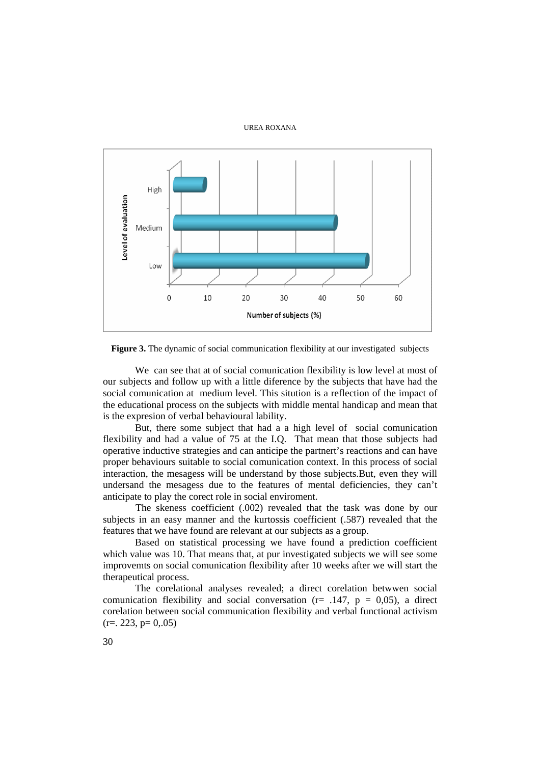### UREA ROXANA



**Figure 3.** The dynamic of social communication flexibility at our investigated subjects

 We can see that at of social comunication flexibility is low level at most of our subjects and follow up with a little diference by the subjects that have had the social comunication at medium level. This sitution is a reflection of the impact of the educational process on the subjects with middle mental handicap and mean that is the expresion of verbal behavioural lability.

 But, there some subject that had a a high level of social comunication flexibility and had a value of 75 at the I.Q. That mean that those subjects had operative inductive strategies and can anticipe the partnert's reactions and can have proper behaviours suitable to social comunication context. In this process of social interaction, the mesagess will be understand by those subjects.But, even they will undersand the mesagess due to the features of mental deficiencies, they can't anticipate to play the corect role in social enviroment.

The skeness coefficient (.002) revealed that the task was done by our subjects in an easy manner and the kurtossis coefficient (.587) revealed that the features that we have found are relevant at our subjects as a group.

Based on statistical processing we have found a prediction coefficient which value was 10. That means that, at pur investigated subjects we will see some improvemts on social comunication flexibility after 10 weeks after we will start the therapeutical process.

The corelational analyses revealed; a direct corelation betwwen social comunication flexibility and social conversation ( $r = .147$ ,  $p = 0.05$ ), a direct corelation between social communication flexibility and verbal functional activism  $(r=. 223, p= 0..05)$